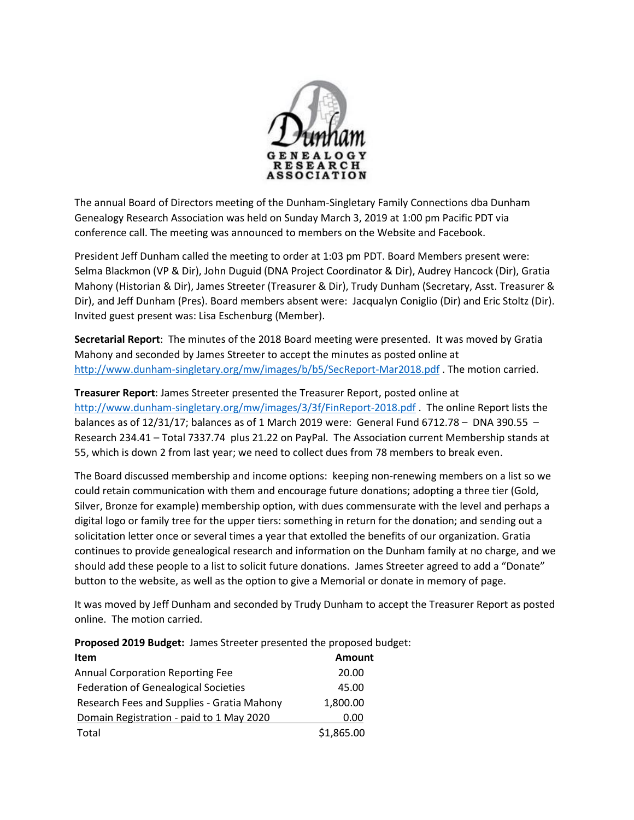

The annual Board of Directors meeting of the Dunham-Singletary Family Connections dba Dunham Genealogy Research Association was held on Sunday March 3, 2019 at 1:00 pm Pacific PDT via conference call. The meeting was announced to members on the Website and Facebook.

President Jeff Dunham called the meeting to order at 1:03 pm PDT. Board Members present were: Selma Blackmon (VP & Dir), John Duguid (DNA Project Coordinator & Dir), Audrey Hancock (Dir), Gratia Mahony (Historian & Dir), James Streeter (Treasurer & Dir), Trudy Dunham (Secretary, Asst. Treasurer & Dir), and Jeff Dunham (Pres). Board members absent were: Jacqualyn Coniglio (Dir) and Eric Stoltz (Dir). Invited guest present was: Lisa Eschenburg (Member).

**Secretarial Report**: The minutes of the 2018 Board meeting were presented. It was moved by Gratia Mahony and seconded by James Streeter to accept the minutes as posted online at <http://www.dunham-singletary.org/mw/images/b/b5/SecReport-Mar2018.pdf> . The motion carried.

**Treasurer Report**: James Streeter presented the Treasurer Report, posted online at <http://www.dunham-singletary.org/mw/images/3/3f/FinReport-2018.pdf> . The online Report lists the balances as of  $12/31/17$ ; balances as of 1 March 2019 were: General Fund 6712.78 - DNA 390.55 -Research 234.41 – Total 7337.74 plus 21.22 on PayPal. The Association current Membership stands at 55, which is down 2 from last year; we need to collect dues from 78 members to break even.

The Board discussed membership and income options: keeping non-renewing members on a list so we could retain communication with them and encourage future donations; adopting a three tier (Gold, Silver, Bronze for example) membership option, with dues commensurate with the level and perhaps a digital logo or family tree for the upper tiers: something in return for the donation; and sending out a solicitation letter once or several times a year that extolled the benefits of our organization. Gratia continues to provide genealogical research and information on the Dunham family at no charge, and we should add these people to a list to solicit future donations. James Streeter agreed to add a "Donate" button to the website, as well as the option to give a Memorial or donate in memory of page.

It was moved by Jeff Dunham and seconded by Trudy Dunham to accept the Treasurer Report as posted online. The motion carried.

**Proposed 2019 Budget:** James Streeter presented the proposed budget:

| <b>Item</b>                                 | <b>Amount</b> |
|---------------------------------------------|---------------|
| <b>Annual Corporation Reporting Fee</b>     | 20.00         |
| <b>Federation of Genealogical Societies</b> | 45.00         |
| Research Fees and Supplies - Gratia Mahony  | 1,800.00      |
| Domain Registration - paid to 1 May 2020    | 0.00          |
| Total                                       | \$1,865.00    |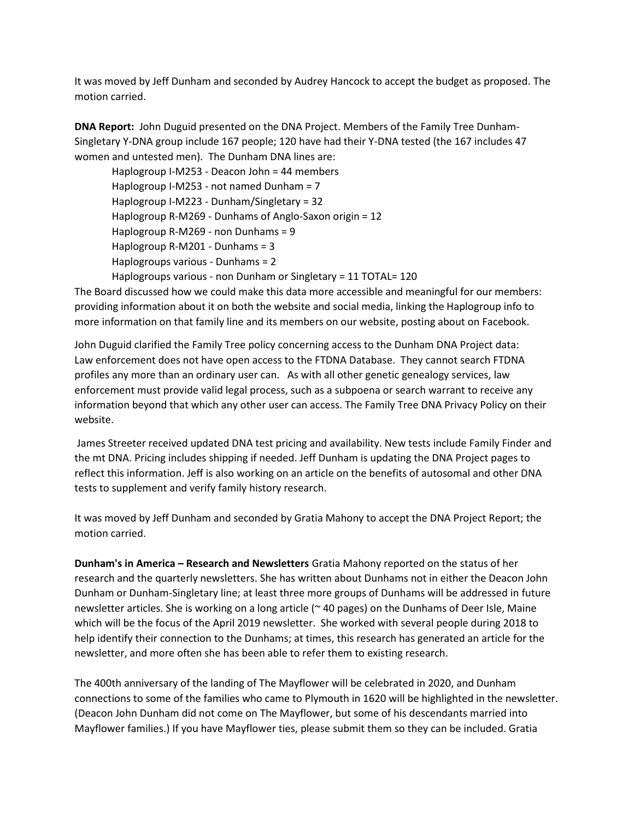It was moved by Jeff Dunham and seconded by Audrey Hancock to accept the budget as proposed. The motion carried.

**DNA Report:** John Duguid presented on the DNA Project. Members of the Family Tree Dunham-Singletary Y-DNA group include 167 people; 120 have had their Y-DNA tested (the 167 includes 47 women and untested men). The Dunham DNA lines are:

Haplogroup I-M253 - Deacon John = 44 members Haplogroup I-M253 - not named Dunham = 7 Haplogroup I-M223 - Dunham/Singletary = 32 Haplogroup R-M269 - Dunhams of Anglo-Saxon origin = 12 Haplogroup R-M269 - non Dunhams = 9 Haplogroup R-M201 - Dunhams = 3 Haplogroups various - Dunhams = 2 Haplogroups various - non Dunham or Singletary = 11 TOTAL= 120

The Board discussed how we could make this data more accessible and meaningful for our members: providing information about it on both the website and social media, linking the Haplogroup info to more information on that family line and its members on our website, posting about on Facebook.

John Duguid clarified the Family Tree policy concerning access to the Dunham DNA Project data: Law enforcement does not have open access to the FTDNA Database. They cannot search FTDNA profiles any more than an ordinary user can. As with all other genetic genealogy services, law enforcement must provide valid legal process, such as a subpoena or search warrant to receive any information beyond that which any other user can access. The Family Tree DNA Privacy Policy on their website.

James Streeter received updated DNA test pricing and availability. New tests include Family Finder and the mt DNA. Pricing includes shipping if needed. Jeff Dunham is updating the DNA Project pages to reflect this information. Jeff is also working on an article on the benefits of autosomal and other DNA tests to supplement and verify family history research.

It was moved by Jeff Dunham and seconded by Gratia Mahony to accept the DNA Project Report; the motion carried.

**Dunham's in America – Research and Newsletters** Gratia Mahony reported on the status of her research and the quarterly newsletters. She has written about Dunhams not in either the Deacon John Dunham or Dunham-Singletary line; at least three more groups of Dunhams will be addressed in future newsletter articles. She is working on a long article (~ 40 pages) on the Dunhams of Deer Isle, Maine which will be the focus of the April 2019 newsletter. She worked with several people during 2018 to help identify their connection to the Dunhams; at times, this research has generated an article for the newsletter, and more often she has been able to refer them to existing research.

The 400th anniversary of the landing of The Mayflower will be celebrated in 2020, and Dunham connections to some of the families who came to Plymouth in 1620 will be highlighted in the newsletter. (Deacon John Dunham did not come on The Mayflower, but some of his descendants married into Mayflower families.) If you have Mayflower ties, please submit them so they can be included. Gratia